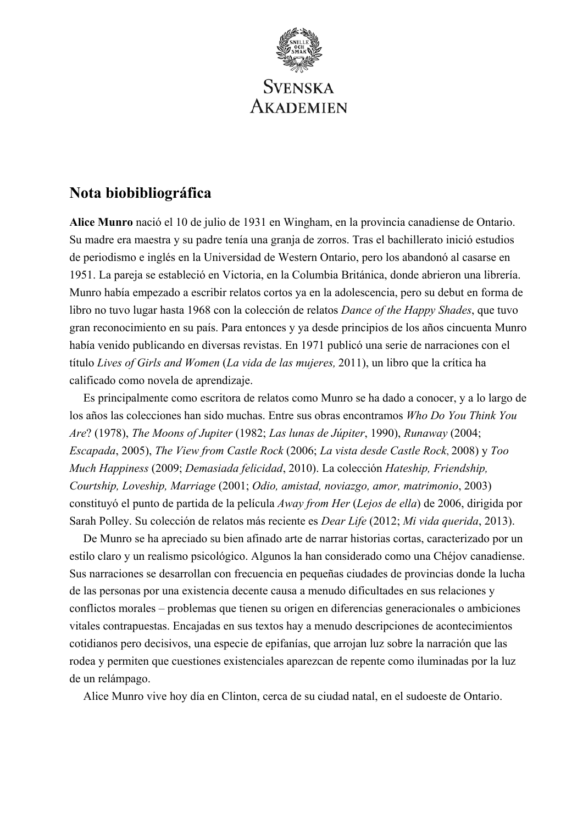

# **Nota biobibliográfica**

**Alice Munro** nació el 10 de julio de 1931 en Wingham, en la provincia canadiense de Ontario. Su madre era maestra y su padre tenía una granja de zorros. Tras el bachillerato inició estudios de periodismo e inglés en la Universidad de Western Ontario, pero los abandonó al casarse en 1951. La pareja se estableció en Victoria, en la Columbia Británica, donde abrieron una librería. Munro había empezado a escribir relatos cortos ya en la adolescencia, pero su debut en forma de libro no tuvo lugar hasta 1968 con la colección de relatos *Dance of the Happy Shades*, que tuvo gran reconocimiento en su país. Para entonces y ya desde principios de los años cincuenta Munro había venido publicando en diversas revistas. En 1971 publicó una serie de narraciones con el título *Lives of Girls and Women* (*La vida de las mujeres,* 2011), un libro que la crítica ha calificado como novela de aprendizaje.

Es principalmente como escritora de relatos como Munro se ha dado a conocer, y a lo largo de los años las colecciones han sido muchas. Entre sus obras encontramos *Who Do You Think You Are*? (1978), *The Moons of Jupiter* (1982; *Las lunas de Júpiter*, 1990), *Runaway* (2004; *Escapada*, 2005), *The View from Castle Rock* (2006; *La vista desde Castle Rock*, 2008) y *Too Much Happiness* (2009; *Demasiada felicidad*, 2010). La colección *Hateship, Friendship, Courtship, Loveship, Marriage* (2001; *Odio, amistad, noviazgo, amor, matrimonio*, 2003) constituyó el punto de partida de la película *Away from Her* (*Lejos de ella*) de 2006, dirigida por Sarah Polley. Su colección de relatos más reciente es *Dear Life* (2012; *Mi vida querida*, 2013).

De Munro se ha apreciado su bien afinado arte de narrar historias cortas, caracterizado por un estilo claro y un realismo psicológico. Algunos la han considerado como una Chéjov canadiense. Sus narraciones se desarrollan con frecuencia en pequeñas ciudades de provincias donde la lucha de las personas por una existencia decente causa a menudo dificultades en sus relaciones y conflictos morales – problemas que tienen su origen en diferencias generacionales o ambiciones vitales contrapuestas. Encajadas en sus textos hay a menudo descripciones de acontecimientos cotidianos pero decisivos, una especie de epifanías, que arrojan luz sobre la narración que las rodea y permiten que cuestiones existenciales aparezcan de repente como iluminadas por la luz de un relámpago.

Alice Munro vive hoy día en Clinton, cerca de su ciudad natal, en el sudoeste de Ontario.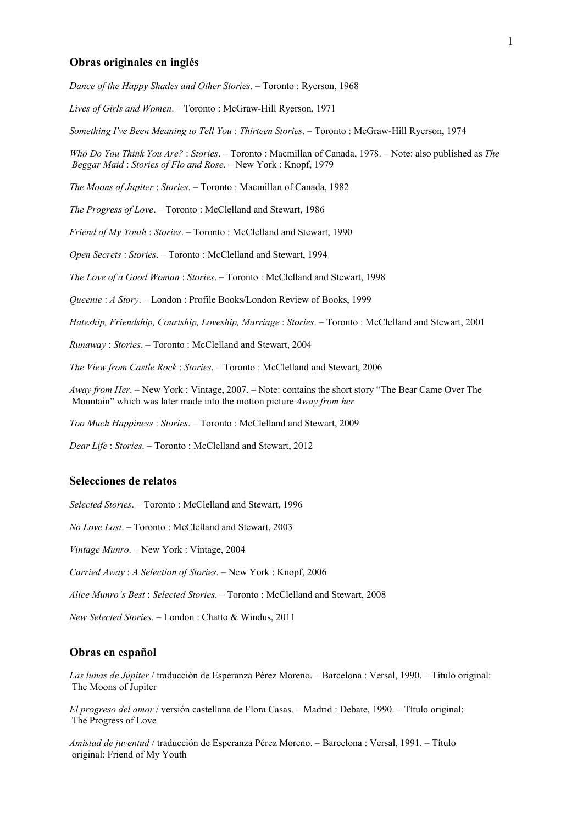#### **Obras originales en inglés**

*Dance of the Happy Shades and Other Stories*. – Toronto : Ryerson, 1968

*Lives of Girls and Women*. – Toronto : McGraw-Hill Ryerson, 1971

*Something I've Been Meaning to Tell You* : *Thirteen Stories*. – Toronto : McGraw-Hill Ryerson, 1974

*Who Do You Think You Are?* : *Stories*. – Toronto : Macmillan of Canada, 1978. – Note: also published as *The Beggar Maid* : *Stories of Flo and Rose*. – New York : Knopf, 1979

*The Moons of Jupiter* : *Stories*. – Toronto : Macmillan of Canada, 1982

*The Progress of Love*. – Toronto : McClelland and Stewart, 1986

*Friend of My Youth* : *Stories*. – Toronto : McClelland and Stewart, 1990

*Open Secrets* : *Stories*. – Toronto : McClelland and Stewart, 1994

*The Love of a Good Woman* : *Stories*. – Toronto : McClelland and Stewart, 1998

*Queenie* : *A Story*. – London : Profile Books/London Review of Books, 1999

*Hateship, Friendship, Courtship, Loveship, Marriage* : *Stories*. – Toronto : McClelland and Stewart, 2001

*Runaway* : *Stories*. – Toronto : McClelland and Stewart, 2004

*The View from Castle Rock* : *Stories*. – Toronto : McClelland and Stewart, 2006

*Away from Her*. – New York : Vintage, 2007. – Note: contains the short story "The Bear Came Over The Mountain" which was later made into the motion picture *Away from her* 

*Too Much Happiness* : *Stories*. – Toronto : McClelland and Stewart, 2009

*Dear Life* : *Stories*. – Toronto : McClelland and Stewart, 2012

### **Selecciones de relatos**

*Selected Stories*. – Toronto : McClelland and Stewart, 1996

*No Love Lost*. – Toronto : McClelland and Stewart, 2003

*Vintage Munro*. – New York : Vintage, 2004

*Carried Away* : *A Selection of Stories*. – New York : Knopf, 2006

*Alice Munro's Best* : *Selected Stories*. – Toronto : McClelland and Stewart, 2008

*New Selected Stories*. – London : Chatto & Windus, 2011

#### **Obras en español**

*Las lunas de Júpiter* / traducción de Esperanza Pérez Moreno. – Barcelona : Versal, 1990. – Título original: The Moons of Jupiter

*El progreso del amor* / versión castellana de Flora Casas. – Madrid : Debate, 1990. – Título original: The Progress of Love

*Amistad de juventud* / traducción de Esperanza Pérez Moreno. – Barcelona : Versal, 1991. – Título original: Friend of My Youth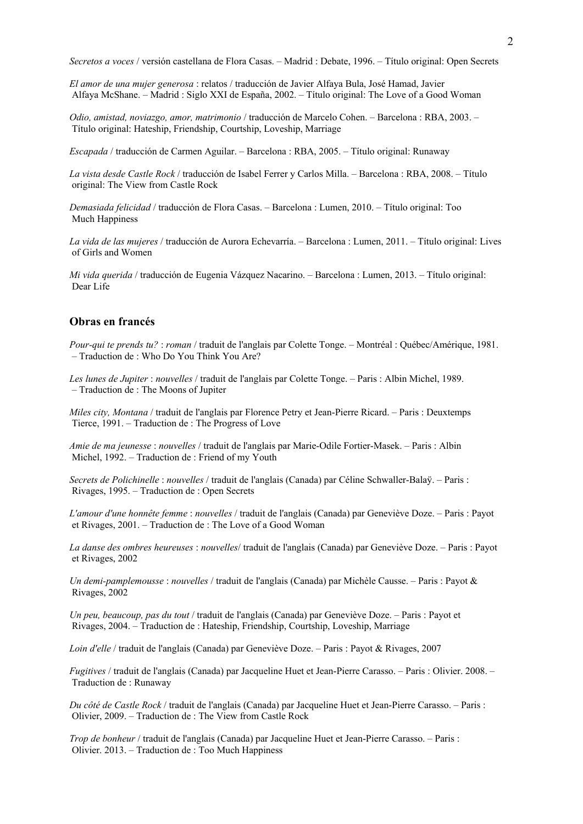*Secretos a voces* / versión castellana de Flora Casas. – Madrid : Debate, 1996. – Título original: Open Secrets

*El amor de una mujer generosa* : relatos / traducción de Javier Alfaya Bula, José Hamad, Javier Alfaya McShane. – Madrid : Siglo XXI de España, 2002. – Título original: The Love of a Good Woman

*Odio, amistad, noviazgo, amor, matrimonio* / traducción de Marcelo Cohen. – Barcelona : RBA, 2003. – Título original: Hateship, Friendship, Courtship, Loveship, Marriage

*Escapada* / traducción de Carmen Aguilar. – Barcelona : RBA, 2005. – Título original: Runaway

*La vista desde Castle Rock* / traducción de Isabel Ferrer y Carlos Milla. – Barcelona : RBA, 2008. – Título original: The View from Castle Rock

*Demasiada felicidad* / traducción de Flora Casas. – Barcelona : Lumen, 2010. – Título original: Too Much Happiness

*La vida de las mujeres* / traducción de Aurora Echevarría. – Barcelona : Lumen, 2011. – Título original: Lives of Girls and Women

*Mi vida querida* / traducción de Eugenia Vázquez Nacarino. – Barcelona : Lumen, 2013. – Título original: Dear Life

#### **Obras en francés**

*Pour-qui te prends tu?* : *roman* / traduit de l'anglais par Colette Tonge. – Montréal : Québec/Amérique, 1981. – Traduction de : Who Do You Think You Are?

*Les lunes de Jupiter* : *nouvelles* / traduit de l'anglais par Colette Tonge. – Paris : Albin Michel, 1989. – Traduction de : The Moons of Jupiter

*Miles city, Montana* / traduit de l'anglais par Florence Petry et Jean-Pierre Ricard. – Paris : Deuxtemps Tierce, 1991. – Traduction de : The Progress of Love

*Amie de ma jeunesse* : *nouvelles* / traduit de l'anglais par Marie-Odile Fortier-Masek. – Paris : Albin Michel, 1992. – Traduction de : Friend of my Youth

*Secrets de Polichinelle* : *nouvelles* / traduit de l'anglais (Canada) par Céline Schwaller-Balaÿ. – Paris : Rivages, 1995. – Traduction de : Open Secrets

*L'amour d'une honnête femme* : *nouvelles* / traduit de l'anglais (Canada) par Geneviève Doze. – Paris : Payot et Rivages, 2001. – Traduction de : The Love of a Good Woman

*La danse des ombres heureuses* : *nouvelles*/ traduit de l'anglais (Canada) par Geneviève Doze. – Paris : Payot et Rivages, 2002

*Un demi-pamplemousse* : *nouvelles* / traduit de l'anglais (Canada) par Michèle Causse. – Paris : Payot & Rivages, 2002

*Un peu, beaucoup, pas du tout* / traduit de l'anglais (Canada) par Geneviève Doze. – Paris : Payot et Rivages, 2004. – Traduction de : Hateship, Friendship, Courtship, Loveship, Marriage

*Loin d'elle* / traduit de l'anglais (Canada) par Geneviève Doze. – Paris : Payot & Rivages, 2007

*Fugitives* / traduit de l'anglais (Canada) par Jacqueline Huet et Jean-Pierre Carasso. – Paris : Olivier. 2008. – Traduction de : Runaway

*Du côté de Castle Rock* / traduit de l'anglais (Canada) par Jacqueline Huet et Jean-Pierre Carasso. – Paris : Olivier, 2009. – Traduction de : The View from Castle Rock

*Trop de bonheur* / traduit de l'anglais (Canada) par Jacqueline Huet et Jean-Pierre Carasso. – Paris : Olivier. 2013. – Traduction de : Too Much Happiness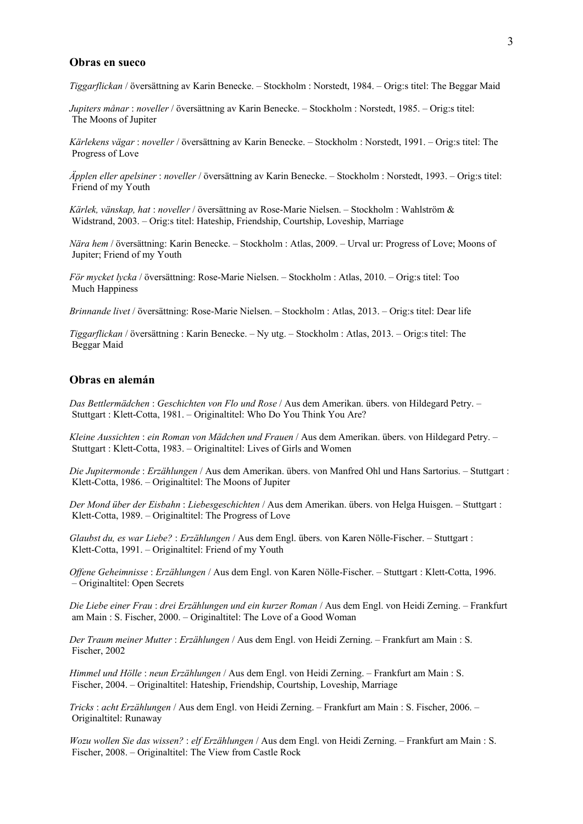#### **Obras en sueco**

*Tiggarflickan* / översättning av Karin Benecke. – Stockholm : Norstedt, 1984. – Orig:s titel: The Beggar Maid

*Jupiters månar* : *noveller* / översättning av Karin Benecke. – Stockholm : Norstedt, 1985. – Orig:s titel: The Moons of Jupiter

*Kärlekens vägar* : *noveller* / översättning av Karin Benecke. – Stockholm : Norstedt, 1991. – Orig:s titel: The Progress of Love

*Äpplen eller apelsiner* : *noveller* / översättning av Karin Benecke. – Stockholm : Norstedt, 1993. – Orig:s titel: Friend of my Youth

*Kärlek, vänskap, hat* : *noveller* / översättning av Rose-Marie Nielsen. – Stockholm : Wahlström & Widstrand, 2003. – Orig:s titel: Hateship, Friendship, Courtship, Loveship, Marriage

*Nära hem* / översättning: Karin Benecke. – Stockholm : Atlas, 2009. – Urval ur: Progress of Love; Moons of Jupiter; Friend of my Youth

*För mycket lycka* / översättning: Rose-Marie Nielsen. – Stockholm : Atlas, 2010. – Orig:s titel: Too Much Happiness

*Brinnande livet* / översättning: Rose-Marie Nielsen. – Stockholm : Atlas, 2013. – Orig:s titel: Dear life

*Tiggarflickan* / översättning : Karin Benecke. – Ny utg. – Stockholm : Atlas, 2013. – Orig:s titel: The Beggar Maid

# **Obras en alemán**

*Das Bettlermädchen* : *Geschichten von Flo und Rose* / Aus dem Amerikan. übers. von Hildegard Petry. – Stuttgart : Klett-Cotta, 1981. – Originaltitel: Who Do You Think You Are?

*Kleine Aussichten* : *ein Roman von Mädchen und Frauen* / Aus dem Amerikan. übers. von Hildegard Petry. – Stuttgart : Klett-Cotta, 1983. – Originaltitel: Lives of Girls and Women

*Die Jupitermonde* : *Erzählungen* / Aus dem Amerikan. übers. von Manfred Ohl und Hans Sartorius. – Stuttgart : Klett-Cotta, 1986. – Originaltitel: The Moons of Jupiter

*Der Mond über der Eisbahn* : *Liebesgeschichten* / Aus dem Amerikan. übers. von Helga Huisgen. – Stuttgart : Klett-Cotta, 1989. – Originaltitel: The Progress of Love

*Glaubst du, es war Liebe?* : *Erzählungen* / Aus dem Engl. übers. von Karen Nölle-Fischer. – Stuttgart : Klett-Cotta, 1991. – Originaltitel: Friend of my Youth

*Offene Geheimnisse* : *Erzählungen* / Aus dem Engl. von Karen Nölle-Fischer. – Stuttgart : Klett-Cotta, 1996. – Originaltitel: Open Secrets

*Die Liebe einer Frau* : *drei Erzählungen und ein kurzer Roman* / Aus dem Engl. von Heidi Zerning. – Frankfurt am Main : S. Fischer, 2000. – Originaltitel: The Love of a Good Woman

*Der Traum meiner Mutter* : *Erzählungen* / Aus dem Engl. von Heidi Zerning. – Frankfurt am Main : S. Fischer, 2002

*Himmel und Hölle* : *neun Erzählungen* / Aus dem Engl. von Heidi Zerning. – Frankfurt am Main : S. Fischer, 2004. – Originaltitel: Hateship, Friendship, Courtship, Loveship, Marriage

*Tricks* : *acht Erzählungen* / Aus dem Engl. von Heidi Zerning. – Frankfurt am Main : S. Fischer, 2006. – Originaltitel: Runaway

*Wozu wollen Sie das wissen?* : *elf Erzählungen* / Aus dem Engl. von Heidi Zerning. – Frankfurt am Main : S. Fischer, 2008. – Originaltitel: The View from Castle Rock